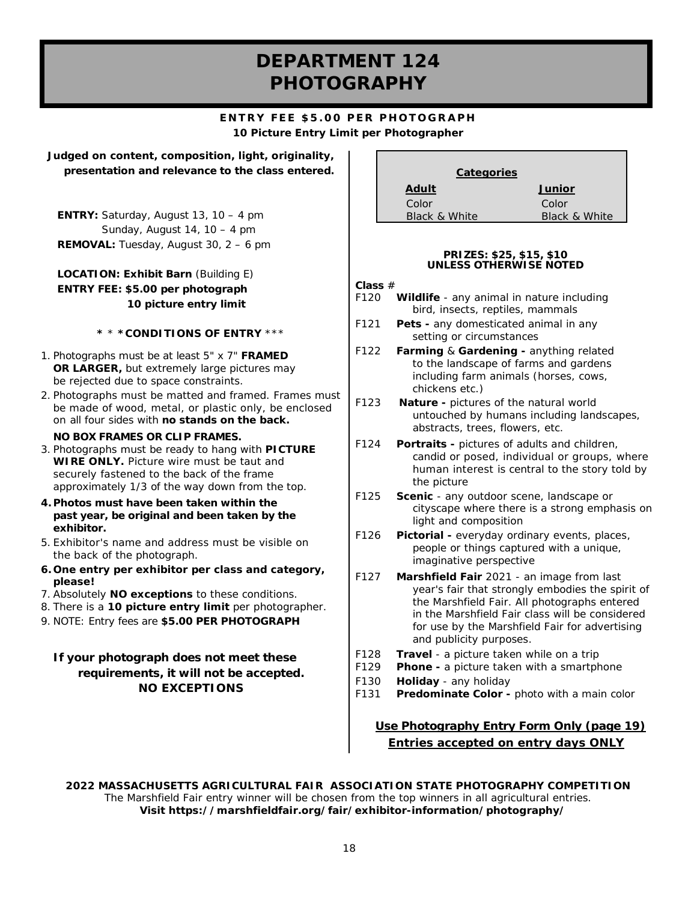# **DEPARTMENT 124 PHOTOGRAPHY**

#### **ENTRY FEE \$5.00 PER PHOTOGRAPH 10 Picture Entry Limit per Photographer**

**Judged on content, composition, light, originality, presentation and relevance to the class entered.**

**ENTRY:** Saturday, August 13, 10 – 4 pm Sunday, August 14, 10 – 4 pm **REMOVAL:** Tuesday, August 30, 2 – 6 pm

#### **LOCATION: Exhibit Barn** (Building E) **ENTRY FEE: \$5.00 per photograph 10 picture entry limit**

#### **\*** \* **\*CONDITIONS OF ENTRY** \*\*\*

- 1. Photographs must be at least 5" x 7" **FRAMED OR LARGER,** but extremely large pictures may be rejected due to space constraints.
- 2. Photographs must be matted and framed. Frames must be made of wood, metal, or plastic only, be enclosed on all four sides with **no stands on the back.**

#### **NO BOX FRAMES OR CLIP FRAMES.**

- 3. Photographs must be ready to hang with **PICTURE WIRE ONLY.** Picture wire must be taut and securely fastened to the back of the frame approximately 1/3 of the way down from the top.
- **4. Photos must have been taken within the past year, be original and been taken by the exhibitor.**
- 5. Exhibitor's name and address must be visible on the back of the photograph.
- **6. One entry per exhibitor per class and category, please!**
- 7. Absolutely **NO exceptions** to these conditions.
- 8. There is a **10 picture entry limit** per photographer.
- 9. NOTE: Entry fees are **\$5.00 PER PHOTOGRAPH**

#### **If your photograph does not meet these requirements, it will not be accepted. NO EXCEPTIONS**

| <b>Categories</b> |               |  |
|-------------------|---------------|--|
| <b>Adult</b>      | Junior        |  |
| Color             | Color         |  |
| Black & White     | Black & White |  |

#### **PRIZES: \$25, \$15, \$10 UNLESS OTHERWISE NOTED**

#### **Class** #

- F120 **Wildlife** any animal in nature including bird, insects, reptiles, mammals
- F121 **Pets -** any domesticated animal in any setting or circumstances
- F122 **Farming** & **Gardening -** anything related to the landscape of farms and gardens including farm animals (horses, cows, chickens etc.)
- F123 **Nature -** pictures of the natural world untouched by humans including landscapes, abstracts, trees, flowers, etc.
- F124 **Portraits -** pictures of adults and children, candid or posed, individual or groups, where human interest is central to the story told by the picture
- F125 **Scenic** any outdoor scene, landscape or cityscape where there is a strong emphasis on light and composition
- F126 **Pictorial -** everyday ordinary events, places, people or things captured with a unique, imaginative perspective
- F127 **Marshfield Fair** 2021 an image from last year's fair that strongly embodies the spirit of the Marshfield Fair. All photographs entered in the Marshfield Fair class will be considered for use by the Marshfield Fair for advertising and publicity purposes.
- F128 **Travel** a picture taken while on a trip
- F129 **Phone -** a picture taken with a smartphone
- F130 **Holiday** any holiday
- F131 **Predominate Color -** photo with a main color

#### **Use Photography Entry Form** *Only (page 19) Entries accepted on entry days ONLY*

**2022 MASSACHUSETTS AGRICULTURAL FAIR ASSOCIATION STATE PHOTOGRAPHY COMPETITION** The Marshfield Fair entry winner will be chosen from the top winners in all agricultural entries. **Visit https://marshfieldfair.org/fair/exhibitor-information/photography/**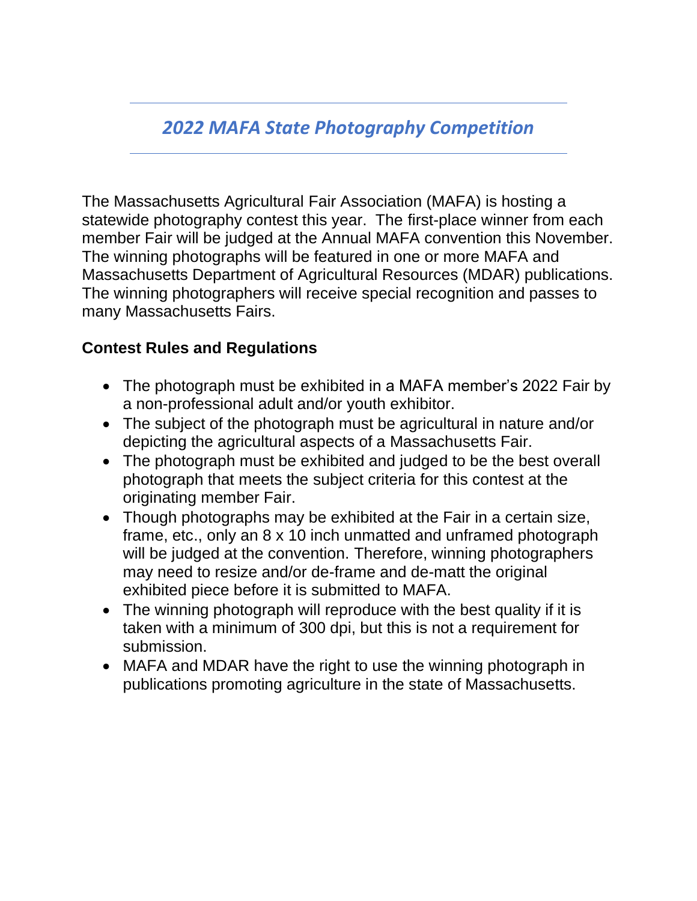# *2022 MAFA State Photography Competition*

The Massachusetts Agricultural Fair Association (MAFA) is hosting a statewide photography contest this year. The first-place winner from each member Fair will be judged at the Annual MAFA convention this November. The winning photographs will be featured in one or more MAFA and Massachusetts Department of Agricultural Resources (MDAR) publications. The winning photographers will receive special recognition and passes to many Massachusetts Fairs.

### **Contest Rules and Regulations**

- The photograph must be exhibited in a MAFA member's 2022 Fair by a non-professional adult and/or youth exhibitor.
- The subject of the photograph must be agricultural in nature and/or depicting the agricultural aspects of a Massachusetts Fair.
- The photograph must be exhibited and judged to be the best overall photograph that meets the subject criteria for this contest at the originating member Fair.
- Though photographs may be exhibited at the Fair in a certain size, frame, etc., only an 8 x 10 inch unmatted and unframed photograph will be judged at the convention. Therefore, winning photographers may need to resize and/or de-frame and de-matt the original exhibited piece before it is submitted to MAFA.
- The winning photograph will reproduce with the best quality if it is taken with a minimum of 300 dpi, but this is not a requirement for submission.
- MAFA and MDAR have the right to use the winning photograph in publications promoting agriculture in the state of Massachusetts.